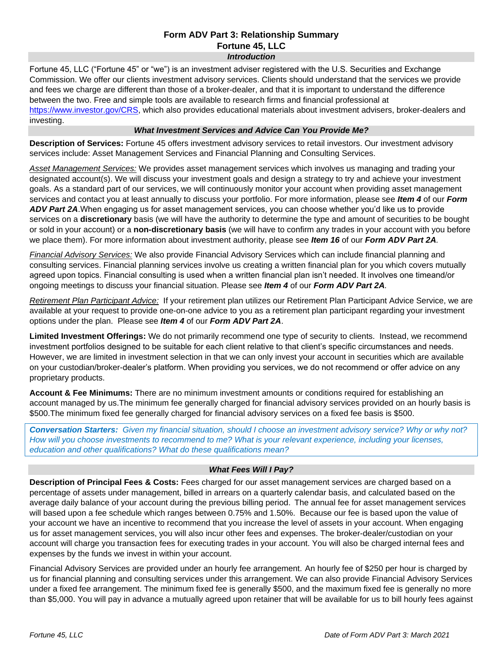### **Form ADV Part 3: Relationship Summary Fortune 45, LLC**  *Introduction*

Fortune 45, LLC ("Fortune 45" or "we") is an investment adviser registered with the U.S. Securities and Exchange Commission. We offer our clients investment advisory services. Clients should understand that the services we provide and fees we charge are different than those of a broker-dealer, and that it is important to understand the difference between the two. Free and simple tools are available to research firms and financial professional at [https://www.investor.gov/CRS,](https://www.investor.gov/CRS) which also provides educational materials about investment advisers, broker-dealers and investing.

# *What Investment Services and Advice Can You Provide Me?*

**Description of Services:** Fortune 45 offers investment advisory services to retail investors. Our investment advisory services include: Asset Management Services and Financial Planning and Consulting Services.

*Asset Management Services:* We provides asset management services which involves us managing and trading your designated account(s). We will discuss your investment goals and design a strategy to try and achieve your investment goals. As a standard part of our services, we will continuously monitor your account when providing asset management services and contact you at least annually to discuss your portfolio. For more information, please see *Item 4* of our *Form ADV Part 2A*.When engaging us for asset management services, you can choose whether you'd like us to provide services on a **discretionary** basis (we will have the authority to determine the type and amount of securities to be bought or sold in your account) or a **non-discretionary basis** (we will have to confirm any trades in your account with you before we place them). For more information about investment authority, please see *Item 16* of our *Form ADV Part 2A*.

*Financial Advisory Services:* We also provide Financial Advisory Services which can include financial planning and consulting services. Financial planning services involve us creating a written financial plan for you which covers mutually agreed upon topics. Financial consulting is used when a written financial plan isn't needed. It involves one timeand/or ongoing meetings to discuss your financial situation. Please see *Item 4* of our *Form ADV Part 2A.*

*Retirement Plan Participant Advice:* If your retirement plan utilizes our Retirement Plan Participant Advice Service, we are available at your request to provide one-on-one advice to you as a retirement plan participant regarding your investment options under the plan. Please see *Item 4* of our *Form ADV Part 2A*.

**Limited Investment Offerings:** We do not primarily recommend one type of security to clients. Instead, we recommend investment portfolios designed to be suitable for each client relative to that client's specific circumstances and needs. However, we are limited in investment selection in that we can only invest your account in securities which are available on your custodian/broker-dealer's platform. When providing you services, we do not recommend or offer advice on any proprietary products.

**Account & Fee Minimums:** There are no minimum investment amounts or conditions required for establishing an account managed by us.The minimum fee generally charged for financial advisory services provided on an hourly basis is \$500.The minimum fixed fee generally charged for financial advisory services on a fixed fee basis is \$500.

*Conversation Starters: Given my financial situation, should I choose an investment advisory service? Why or why not? How will you choose investments to recommend to me? What is your relevant experience, including your licenses, education and other qualifications? What do these qualifications mean?*

# *What Fees Will I Pay?*

**Description of Principal Fees & Costs:** Fees charged for our asset management services are charged based on a percentage of assets under management, billed in arrears on a quarterly calendar basis, and calculated based on the average daily balance of your account during the previous billing period. The annual fee for asset management services will based upon a fee schedule which ranges between 0.75% and 1.50%. Because our fee is based upon the value of your account we have an incentive to recommend that you increase the level of assets in your account. When engaging us for asset management services, you will also incur other fees and expenses. The broker-dealer/custodian on your account will charge you transaction fees for executing trades in your account. You will also be charged internal fees and expenses by the funds we invest in within your account.

Financial Advisory Services are provided under an hourly fee arrangement. An hourly fee of \$250 per hour is charged by us for financial planning and consulting services under this arrangement. We can also provide Financial Advisory Services under a fixed fee arrangement. The minimum fixed fee is generally \$500, and the maximum fixed fee is generally no more than \$5,000. You will pay in advance a mutually agreed upon retainer that will be available for us to bill hourly fees against